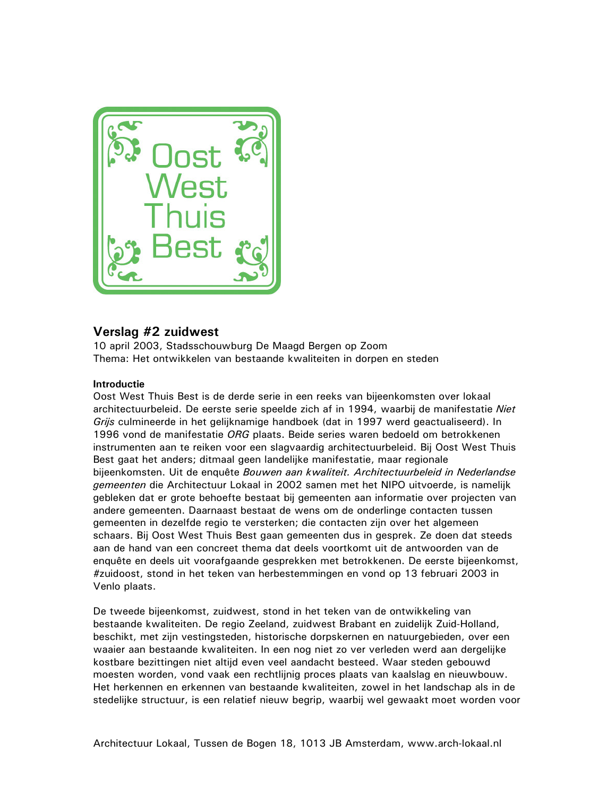

# Verslag #2 zuidwest

10 april 2003, Stadsschouwburg De Maagd Bergen op Zoom Thema: Het ontwikkelen van bestaande kwaliteiten in dorpen en steden

## **Introductie**

Oost West Thuis Best is de derde serie in een reeks van bijeenkomsten over lokaal architectuurbeleid. De eerste serie speelde zich af in 1994, waarbij de manifestatie Niet Grijs culmineerde in het gelijknamige handboek (dat in 1997 werd geactualiseerd). In 1996 vond de manifestatie ORG plaats. Beide series waren bedoeld om betrokkenen instrumenten aan te reiken voor een slagvaardig architectuurbeleid. Bij Oost West Thuis Best gaat het anders; ditmaal geen landelijke manifestatie, maar regionale bijeenkomsten. Uit de enguête Bouwen aan kwaliteit. Architectuurbeleid in Nederlandse gemeenten die Architectuur Lokaal in 2002 samen met het NIPO uitvoerde, is namelijk gebleken dat er grote behoefte bestaat bij gemeenten aan informatie over projecten van andere gemeenten. Daarnaast bestaat de wens om de onderlinge contacten tussen gemeenten in dezelfde regio te versterken; die contacten zijn over het algemeen schaars. Bij Oost West Thuis Best gaan gemeenten dus in gesprek. Ze doen dat steeds aan de hand van een concreet thema dat deels voortkomt uit de antwoorden van de enquête en deels uit voorafgaande gesprekken met betrokkenen. De eerste bijeenkomst, #zuidoost, stond in het teken van herbestemmingen en vond op 13 februari 2003 in Venlo plaats.

De tweede bijeenkomst, zuidwest, stond in het teken van de ontwikkeling van bestaande kwaliteiten. De regio Zeeland, zuidwest Brabant en zuidelijk Zuid-Holland, beschikt, met zijn vestingsteden, historische dorpskernen en natuurgebieden, over een waaier aan bestaande kwaliteiten. In een nog niet zo ver verleden werd aan dergelijke kostbare bezittingen niet altijd even veel aandacht besteed. Waar steden gebouwd moesten worden, vond vaak een rechtlijnig proces plaats van kaalslag en nieuwbouw. Het herkennen en erkennen van bestaande kwaliteiten, zowel in het landschap als in de stedelijke structuur, is een relatief nieuw begrip, waarbij wel gewaakt moet worden voor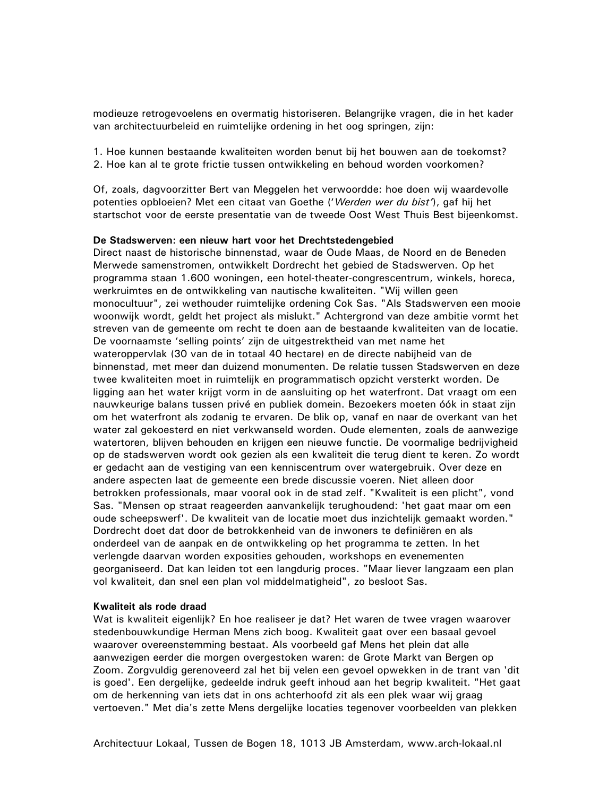modieuze retrogevoelens en overmatig historiseren. Belangrijke vragen, die in het kader van architectuurbeleid en ruimtelijke ordening in het oog springen, zijn:

1. Hoe kunnen bestaande kwaliteiten worden benut bij het bouwen aan de toekomst? 2. Hoe kan al te grote frictie tussen ontwikkeling en behoud worden voorkomen?

Of, zoals, dagvoorzitter Bert van Meggelen het verwoordde: hoe doen wij waardevolle potenties opbloeien? Met een citaat van Goethe ('Werden wer du bist'), gaf hij het startschot voor de eerste presentatie van de tweede Oost West Thuis Best bijeenkomst.

## De Stadswerven: een nieuw hart voor het Drechtstedengebied

Direct naast de historische binnenstad, waar de Oude Maas, de Noord en de Beneden Merwede samenstromen, ontwikkelt Dordrecht het gebied de Stadswerven. Op het programma staan 1.600 woningen, een hotel-theater-congrescentrum, winkels, horeca, werkruimtes en de ontwikkeling van nautische kwaliteiten. "Wij willen geen monocultuur", zei wethouder ruimtelijke ordening Cok Sas. "Als Stadswerven een mooie woonwijk wordt, geldt het project als mislukt." Achtergrond van deze ambitie vormt het streven van de gemeente om recht te doen aan de bestaande kwaliteiten van de locatie. De voornaamste 'selling points' zijn de uitgestrektheid van met name het wateroppervlak (30 van de in totaal 40 hectare) en de directe nabijheid van de binnenstad, met meer dan duizend monumenten. De relatie tussen Stadswerven en deze twee kwaliteiten moet in ruimtelijk en programmatisch opzicht versterkt worden. De ligging aan het water krijgt vorm in de aansluiting op het waterfront. Dat vraagt om een nauwkeurige balans tussen privé en publiek domein. Bezoekers moeten óók in staat zijn om het waterfront als zodanig te ervaren. De blik op, vanaf en naar de overkant van het water zal gekoesterd en niet verkwanseld worden. Oude elementen, zoals de aanwezige watertoren, blijven behouden en krijgen een nieuwe functie. De voormalige bedrijvigheid op de stadswerven wordt ook gezien als een kwaliteit die terug dient te keren. Zo wordt er gedacht aan de vestiging van een kenniscentrum over watergebruik. Over deze en andere aspecten laat de gemeente een brede discussie voeren. Niet alleen door betrokken professionals, maar vooral ook in de stad zelf. "Kwaliteit is een plicht", vond Sas. "Mensen op straat reageerden aanvankelijk terughoudend: 'het gaat maar om een oude scheepswerf'. De kwaliteit van de locatie moet dus inzichtelijk gemaakt worden." Dordrecht doet dat door de betrokkenheid van de inwoners te definiëren en als onderdeel van de aanpak en de ontwikkeling op het programma te zetten. In het verlengde daarvan worden exposities gehouden, workshops en evenementen georganiseerd. Dat kan leiden tot een langdurig proces. "Maar liever langzaam een plan vol kwaliteit, dan snel een plan vol middelmatigheid", zo besloot Sas.

#### Kwaliteit als rode draad

Wat is kwaliteit eigenlijk? En hoe realiseer je dat? Het waren de twee vragen waarover stedenbouwkundige Herman Mens zich boog. Kwaliteit gaat over een basaal gevoel waarover overeenstemming bestaat. Als voorbeeld gaf Mens het plein dat alle aanwezigen eerder die morgen overgestoken waren: de Grote Markt van Bergen op Zoom. Zorgvuldig gerenoveerd zal het bij velen een gevoel opwekken in de trant van 'dit is goed'. Een dergelijke, gedeelde indruk geeft inhoud aan het begrip kwaliteit. "Het gaat om de herkenning van iets dat in ons achterhoofd zit als een plek waar wij graag vertoeven." Met dia's zette Mens dergelijke locaties tegenover voorbeelden van plekken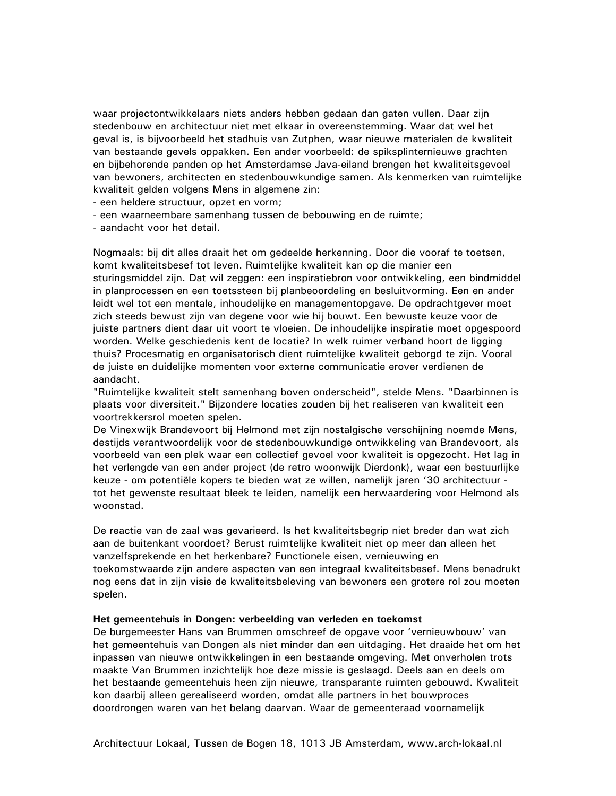waar projectontwikkelaars niets anders hebben gedaan dan gaten vullen. Daar zijn stedenbouw en architectuur niet met elkaar in overeenstemming. Waar dat wel het geval is, is bijvoorbeeld het stadhuis van Zutphen, waar nieuwe materialen de kwaliteit van bestaande gevels oppakken. Een ander voorbeeld: de spiksplinternieuwe grachten en bijbehorende panden op het Amsterdamse Java-eiland brengen het kwaliteitsgevoel van bewoners, architecten en stedenbouwkundige samen. Als kenmerken van ruimtelijke kwaliteit gelden volgens Mens in algemene zin:

- een heldere structuur, opzet en vorm;

- een waarneembare samenhang tussen de bebouwing en de ruimte;

- aandacht voor het detail.

Nogmaals: bij dit alles draait het om gedeelde herkenning. Door die vooraf te toetsen, komt kwaliteitsbesef tot leven. Ruimtelijke kwaliteit kan op die manier een sturingsmiddel zijn. Dat wil zeggen: een inspiratiebron voor ontwikkeling, een bindmiddel in planprocessen en een toetssteen bij planbeoordeling en besluitvorming. Een en ander leidt wel tot een mentale, inhoudelijke en managementopgave. De opdrachtgever moet zich steeds bewust zijn van degene voor wie hij bouwt. Een bewuste keuze voor de juiste partners dient daar uit voort te vloeien. De inhoudelijke inspiratie moet opgespoord worden. Welke geschiedenis kent de locatie? In welk ruimer verband hoort de ligging thuis? Procesmatig en organisatorisch dient ruimtelijke kwaliteit geborgd te zijn. Vooral de juiste en duidelijke momenten voor externe communicatie erover verdienen de aandacht.

"Ruimtelijke kwaliteit stelt samenhang boven onderscheid", stelde Mens. "Daarbinnen is plaats voor diversiteit." Bijzondere locaties zouden bij het realiseren van kwaliteit een voortrekkersrol moeten spelen.

De Vinexwijk Brandevoort bij Helmond met zijn nostalgische verschijning noemde Mens, destijds verantwoordelijk voor de stedenbouwkundige ontwikkeling van Brandevoort, als voorbeeld van een plek waar een collectief gevoel voor kwaliteit is opgezocht. Het lag in het verlengde van een ander project (de retro woonwijk Dierdonk), waar een bestuurlijke keuze - om potentiële kopers te bieden wat ze willen, namelijk jaren '30 architectuur tot het gewenste resultaat bleek te leiden, namelijk een herwaardering voor Helmond als woonstad

De reactie van de zaal was gevarieerd. Is het kwaliteitsbegrip niet breder dan wat zich aan de buitenkant voordoet? Berust ruimteliike kwaliteit niet op meer dan alleen het vanzelfsprekende en het herkenbare? Functionele eisen, vernieuwing en toekomstwaarde zijn andere aspecten van een integraal kwaliteitsbesef. Mens benadrukt nog eens dat in zijn visie de kwaliteitsbeleving van bewoners een grotere rol zou moeten spelen.

## Het gemeentehuis in Dongen: verbeelding van verleden en toekomst

De burgemeester Hans van Brummen omschreef de opgave voor 'vernieuwbouw' van het gemeentehuis van Dongen als niet minder dan een uitdaging. Het draaide het om het inpassen van nieuwe ontwikkelingen in een bestaande omgeving. Met onverholen trots maakte Van Brummen inzichtelijk hoe deze missie is geslaagd. Deels aan en deels om het bestaande gemeentehuis heen zijn nieuwe, transparante ruimten gebouwd. Kwaliteit kon daarbij alleen gerealiseerd worden, omdat alle partners in het bouwproces doordrongen waren van het belang daarvan. Waar de gemeenteraad voornamelijk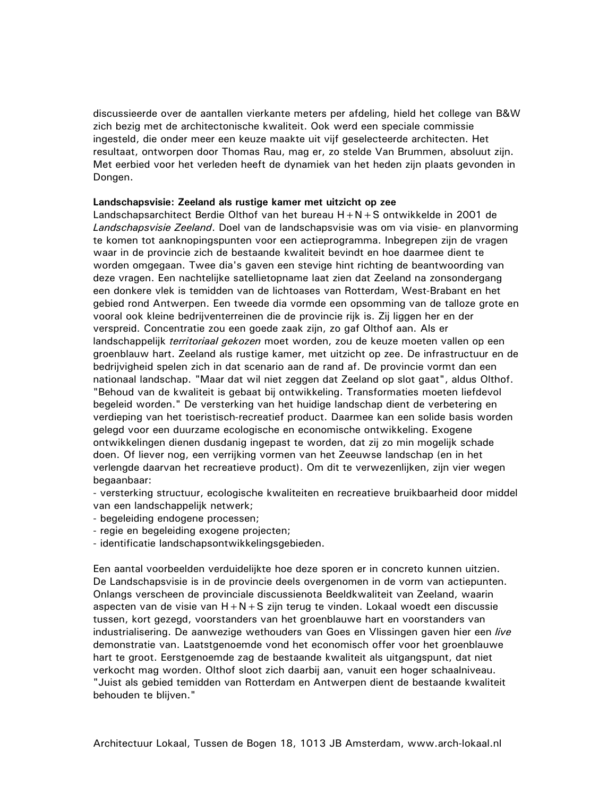discussieerde over de aantallen vierkante meters per afdeling, hield het college van B&W zich bezig met de architectonische kwaliteit. Ook werd een speciale commissie ingesteld, die onder meer een keuze maakte uit vijf geselecteerde architecten. Het resultaat, ontworpen door Thomas Rau, mag er, zo stelde Van Brummen, absoluut zijn. Met eerbied voor het verleden heeft de dynamiek van het heden zijn plaats gevonden in Dongen.

## Landschapsvisie: Zeeland als rustige kamer met uitzicht op zee

Landschapsarchitect Berdie Olthof van het bureau  $H + N + S$  ontwikkelde in 2001 de Landschapsvisie Zeeland. Doel van de landschapsvisie was om via visie- en planvorming te komen tot aanknopingspunten voor een actieprogramma. Inbegrepen zijn de vragen waar in de provincie zich de bestaande kwaliteit bevindt en hoe daarmee dient te worden omgegaan. Twee dia's gaven een stevige hint richting de beantwoording van deze vragen. Een nachtelijke satellietopname laat zien dat Zeeland na zonsondergang een donkere vlek is temidden van de lichtoases van Rotterdam, West-Brabant en het gebied rond Antwerpen. Een tweede dia vormde een opsomming van de talloze grote en vooral ook kleine bedrijventerreinen die de provincie rijk is. Zij liggen her en der verspreid. Concentratie zou een goede zaak zijn, zo gaf Olthof aan. Als er landschappelijk territoriaal gekozen moet worden, zou de keuze moeten vallen op een groenblauw hart. Zeeland als rustige kamer, met uitzicht op zee. De infrastructuur en de bedrijvigheid spelen zich in dat scenario aan de rand af. De provincie vormt dan een nationaal landschap. "Maar dat wil niet zeggen dat Zeeland op slot gaat", aldus Olthof. "Behoud van de kwaliteit is gebaat bij ontwikkeling. Transformaties moeten liefdevol begeleid worden." De versterking van het huidige landschap dient de verbetering en verdieping van het toeristisch-recreatief product. Daarmee kan een solide basis worden gelegd voor een duurzame ecologische en economische ontwikkeling. Exogene ontwikkelingen dienen dusdanig ingepast te worden, dat zij zo min mogelijk schade doen. Of liever nog, een verrijking vormen van het Zeeuwse landschap (en in het verlengde daarvan het recreatieve product). Om dit te verwezenlijken, zijn vier wegen begaanbaar:

- versterking structuur, ecologische kwaliteiten en recreatieve bruikbaarheid door middel van een landschappelijk netwerk;

- begeleiding endogene processen;
- regie en begeleiding exogene projecten;
- identificatie landschapsontwikkelingsgebieden.

Een aantal voorbeelden verduidelijkte hoe deze sporen er in concreto kunnen uitzien. De Landschapsvisie is in de provincie deels overgenomen in de vorm van actiepunten. Onlangs verscheen de provinciale discussienota Beeldkwaliteit van Zeeland, waarin aspecten van de visie van  $H + N + S$  zijn terug te vinden. Lokaal woedt een discussie tussen, kort gezegd, voorstanders van het groenblauwe hart en voorstanders van industrialisering. De aanwezige wethouders van Goes en Vlissingen gaven hier een live demonstratie van. Laatstgenoemde vond het economisch offer voor het groenblauwe hart te groot. Eerstgenoemde zag de bestaande kwaliteit als uitgangspunt, dat niet verkocht mag worden. Olthof sloot zich daarbij aan, vanuit een hoger schaalniveau. "Juist als gebied temidden van Rotterdam en Antwerpen dient de bestaande kwaliteit behouden te blijven."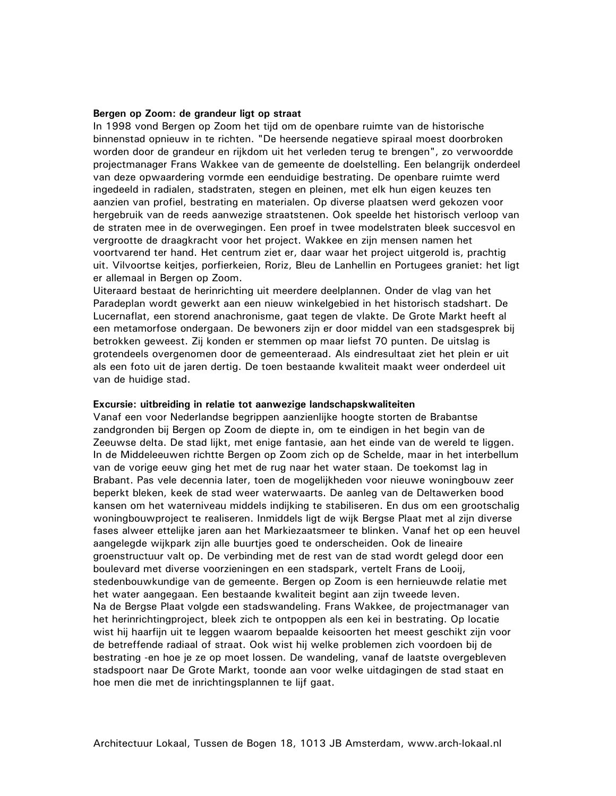#### Bergen op Zoom: de grandeur ligt op straat

In 1998 vond Bergen op Zoom het tijd om de openbare ruimte van de historische binnenstad opnieuw in te richten. "De heersende negatieve spiraal moest doorbroken worden door de grandeur en rijkdom uit het verleden terug te brengen", zo verwoordde projectmanager Frans Wakkee van de gemeente de doelstelling. Een belangrijk onderdeel van deze opwaardering vormde een eenduidige bestrating. De openbare ruimte werd ingedeeld in radialen, stadstraten, stegen en pleinen, met elk hun eigen keuzes ten aanzien van profiel, bestrating en materialen. Op diverse plaatsen werd gekozen voor hergebruik van de reeds aanwezige straatstenen. Ook speelde het historisch verloop van de straten mee in de overwegingen. Een proef in twee modelstraten bleek succesvol en vergrootte de draagkracht voor het project. Wakkee en zijn mensen namen het voortvarend ter hand. Het centrum ziet er, daar waar het project uitgerold is, prachtig uit. Vilvoortse keitjes, porfierkeien, Roriz, Bleu de Lanhellin en Portugees graniet: het ligt er allemaal in Bergen op Zoom.

Uiteraard bestaat de herinrichting uit meerdere deelplannen. Onder de vlag van het Paradeplan wordt gewerkt aan een nieuw winkelgebied in het historisch stadshart. De Lucernaflat, een storend anachronisme, gaat tegen de vlakte. De Grote Markt heeft al een metamorfose ondergaan. De bewoners zijn er door middel van een stadsgesprek bij betrokken geweest. Zij konden er stemmen op maar liefst 70 punten. De uitslag is grotendeels overgenomen door de gemeenteraad. Als eindresultaat ziet het plein er uit als een foto uit de jaren dertig. De toen bestaande kwaliteit maakt weer onderdeel uit van de huidige stad.

### Excursie: uitbreiding in relatie tot aanwezige landschapskwaliteiten

Vanaf een voor Nederlandse begrippen aanzienlijke hoogte storten de Brabantse zandgronden bij Bergen op Zoom de diepte in, om te eindigen in het begin van de Zeeuwse delta. De stad lijkt, met enige fantasie, aan het einde van de wereld te liggen. In de Middeleeuwen richtte Bergen op Zoom zich op de Schelde, maar in het interbellum van de vorige eeuw ging het met de rug naar het water staan. De toekomst lag in Brabant. Pas vele decennia later, toen de mogelijkheden voor nieuwe woningbouw zeer beperkt bleken, keek de stad weer waterwaarts. De aanleg van de Deltawerken bood kansen om het waterniveau middels indijking te stabiliseren. En dus om een grootschalig woningbouwproject te realiseren. Inmiddels ligt de wijk Bergse Plaat met al zijn diverse fases alweer ettelijke jaren aan het Markiezaatsmeer te blinken. Vanaf het op een heuvel aangelegde wijkpark zijn alle buurties goed te onderscheiden. Ook de lineaire groenstructuur valt op. De verbinding met de rest van de stad wordt gelegd door een boulevard met diverse voorzieningen en een stadspark, vertelt Frans de Looij, stedenbouwkundige van de gemeente. Bergen op Zoom is een hernieuwde relatie met het water aangegaan. Een bestaande kwaliteit begint aan zijn tweede leven. Na de Bergse Plaat volgde een stadswandeling. Frans Wakkee, de projectmanager van het herinrichtingproject, bleek zich te ontpoppen als een kei in bestrating. Op locatie wist hij haarfijn uit te leggen waarom bepaalde keisoorten het meest geschikt zijn voor de betreffende radiaal of straat. Ook wist hij welke problemen zich voordoen bij de bestrating -en hoe je ze op moet lossen. De wandeling, vanaf de laatste overgebleven stadspoort naar De Grote Markt, toonde aan voor welke uitdagingen de stad staat en hoe men die met de inrichtingsplannen te lijf gaat.